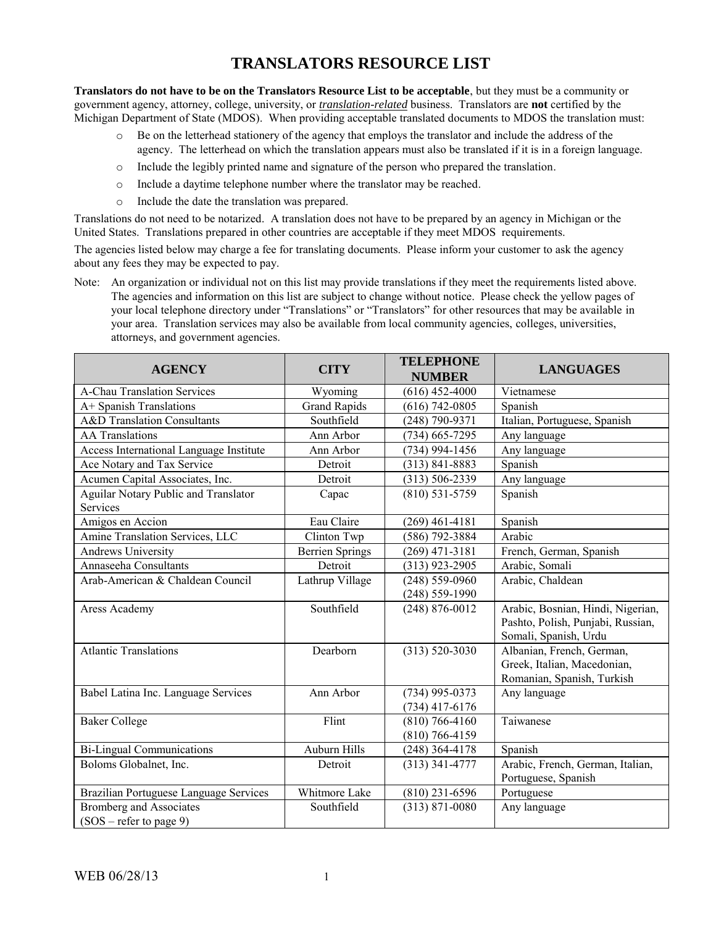## **TRANSLATORS RESOURCE LIST**

**Translators do not have to be on the Translators Resource List to be acceptable**, but they must be a community or government agency, attorney, college, university, or *translation-related* business. Translators are **not** certified by the Michigan Department of State (MDOS). When providing acceptable translated documents to MDOS the translation must:

- o Be on the letterhead stationery of the agency that employs the translator and include the address of the agency. The letterhead on which the translation appears must also be translated if it is in a foreign language.
- o Include the legibly printed name and signature of the person who prepared the translation.
- o Include a daytime telephone number where the translator may be reached.
- o Include the date the translation was prepared.

Translations do not need to be notarized. A translation does not have to be prepared by an agency in Michigan or the United States. Translations prepared in other countries are acceptable if they meet MDOS requirements.

The agencies listed below may charge a fee for translating documents. Please inform your customer to ask the agency about any fees they may be expected to pay.

Note: An organization or individual not on this list may provide translations if they meet the requirements listed above. The agencies and information on this list are subject to change without notice. Please check the yellow pages of your local telephone directory under "Translations" or "Translators" for other resources that may be available in your area. Translation services may also be available from local community agencies, colleges, universities, attorneys, and government agencies.

| <b>AGENCY</b>                           | <b>CITY</b>            | <b>TELEPHONE</b><br><b>NUMBER</b> | <b>LANGUAGES</b>                  |
|-----------------------------------------|------------------------|-----------------------------------|-----------------------------------|
| <b>A-Chau Translation Services</b>      | Wyoming                | $(616)$ 452-4000                  | Vietnamese                        |
| A+ Spanish Translations                 | <b>Grand Rapids</b>    | $(616)$ 742-0805                  | Spanish                           |
| <b>A&amp;D</b> Translation Consultants  | Southfield             | $(248)$ 790-9371                  | Italian, Portuguese, Spanish      |
| <b>AA Translations</b>                  | Ann Arbor              | $(734)$ 665-7295                  | Any language                      |
| Access International Language Institute | Ann Arbor              | $(734)$ 994-1456                  | Any language                      |
| Ace Notary and Tax Service              | Detroit                | $(313) 841 - 8883$                | Spanish                           |
| Acumen Capital Associates, Inc.         | Detroit                | $(313) 506 - 2339$                | Any language                      |
| Aguilar Notary Public and Translator    | Capac                  | $(810)$ 531-5759                  | Spanish                           |
| Services                                |                        |                                   |                                   |
| Amigos en Accion                        | Eau Claire             | $(269)$ 461-4181                  | Spanish                           |
| Amine Translation Services, LLC         | Clinton Twp            | $(586)$ 792-3884                  | Arabic                            |
| <b>Andrews University</b>               | <b>Berrien Springs</b> | $(269)$ 471-3181                  | French, German, Spanish           |
| Annaseeha Consultants                   | Detroit                | $(313)$ 923-2905                  | Arabic, Somali                    |
| Arab-American & Chaldean Council        | Lathrup Village        | $(248) 559 - 0960$                | Arabic, Chaldean                  |
|                                         |                        | $(248) 559 - 1990$                |                                   |
| Aress Academy                           | Southfield             | $(248) 876 - 0012$                | Arabic, Bosnian, Hindi, Nigerian, |
|                                         |                        |                                   | Pashto, Polish, Punjabi, Russian, |
|                                         |                        |                                   | Somali, Spanish, Urdu             |
| <b>Atlantic Translations</b>            | Dearborn               | $(313) 520 - 3030$                | Albanian, French, German,         |
|                                         |                        |                                   | Greek, Italian, Macedonian,       |
|                                         |                        |                                   | Romanian, Spanish, Turkish        |
| Babel Latina Inc. Language Services     | Ann Arbor              | $(734)$ 995-0373                  | Any language                      |
|                                         |                        | $(734)$ 417-6176                  |                                   |
| <b>Baker College</b>                    | Flint                  | $(810) 766 - 4160$                | Taiwanese                         |
|                                         |                        | $(810)$ 766-4159                  |                                   |
| <b>Bi-Lingual Communications</b>        | <b>Auburn Hills</b>    | $(248)$ 364-4178                  | Spanish                           |
| Boloms Globalnet, Inc.                  | Detroit                | $(313)$ 341-4777                  | Arabic, French, German, Italian,  |
|                                         |                        |                                   | Portuguese, Spanish               |
| Brazilian Portuguese Language Services  | Whitmore Lake          | $(810)$ 231-6596                  | Portuguese                        |
| <b>Bromberg and Associates</b>          | Southfield             | $(313) 871 - 0080$                | Any language                      |
| $(SOS - refer to page 9)$               |                        |                                   |                                   |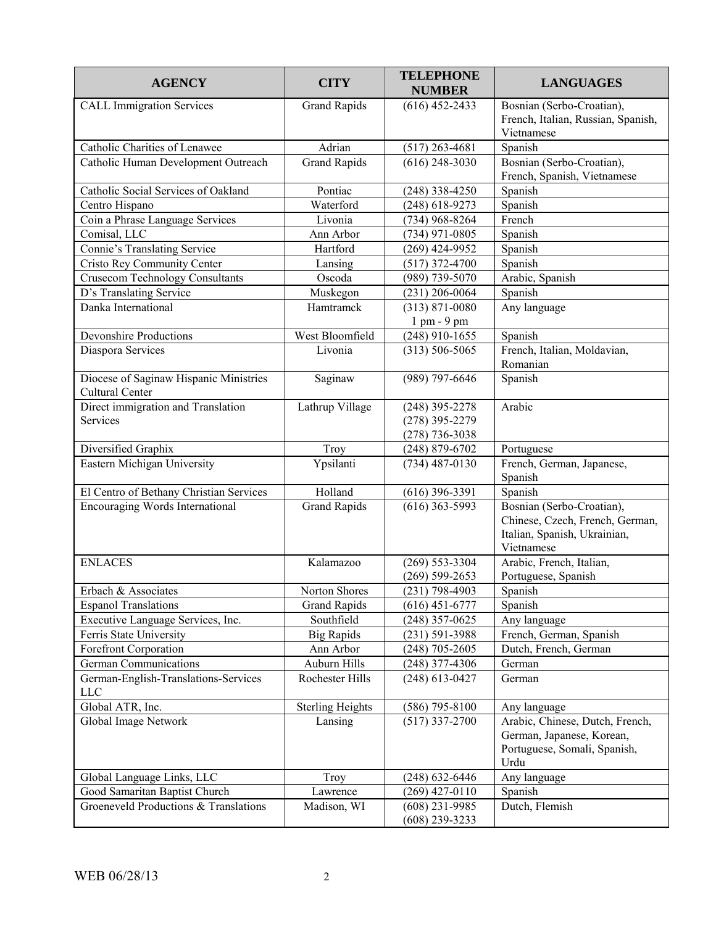| <b>AGENCY</b>                                             | <b>CITY</b>             | <b>TELEPHONE</b><br><b>NUMBER</b>    | <b>LANGUAGES</b>                                                                                           |
|-----------------------------------------------------------|-------------------------|--------------------------------------|------------------------------------------------------------------------------------------------------------|
| <b>CALL Immigration Services</b>                          | <b>Grand Rapids</b>     | $(616)$ 452-2433                     | Bosnian (Serbo-Croatian),<br>French, Italian, Russian, Spanish,<br>Vietnamese                              |
| Catholic Charities of Lenawee                             | Adrian                  | $(517)$ 263-4681                     | Spanish                                                                                                    |
| Catholic Human Development Outreach                       | <b>Grand Rapids</b>     | $(616)$ 248-3030                     | Bosnian (Serbo-Croatian),<br>French, Spanish, Vietnamese                                                   |
| Catholic Social Services of Oakland                       | Pontiac                 | $(248)$ 338-4250                     | Spanish                                                                                                    |
| Centro Hispano                                            | Waterford               | $(248)$ 618-9273                     | Spanish                                                                                                    |
| Coin a Phrase Language Services                           | Livonia                 | $(734)$ 968-8264                     | French                                                                                                     |
| Comisal, LLC                                              | Ann Arbor               | $(734)$ 971-0805                     | Spanish                                                                                                    |
| Connie's Translating Service                              | Hartford                | $(269)$ 424-9952                     | Spanish                                                                                                    |
| Cristo Rey Community Center                               | Lansing                 | $(517)$ 372-4700                     | Spanish                                                                                                    |
| <b>Crusecom Technology Consultants</b>                    | Oscoda                  | (989) 739-5070                       | Arabic, Spanish                                                                                            |
| D's Translating Service                                   | Muskegon                | $(231)$ 206-0064                     | Spanish                                                                                                    |
| Danka International                                       | Hamtramck               | $(313) 871 - 0080$<br>1 pm - 9 pm    | Any language                                                                                               |
| Devonshire Productions                                    | West Bloomfield         | $(248)$ 910-1655                     | Spanish                                                                                                    |
| Diaspora Services                                         | Livonia                 | $(313) 506 - 5065$                   | French, Italian, Moldavian,<br>Romanian                                                                    |
| Diocese of Saginaw Hispanic Ministries<br>Cultural Center | Saginaw                 | (989) 797-6646                       | Spanish                                                                                                    |
| Direct immigration and Translation                        | Lathrup Village         | $(248)$ 395-2278                     | Arabic                                                                                                     |
| Services                                                  |                         | $(278)$ 395-2279                     |                                                                                                            |
|                                                           |                         | $(278) 736 - 3038$                   |                                                                                                            |
| Diversified Graphix                                       | Troy                    | $(248) 879 - 6702$                   | Portuguese                                                                                                 |
| Eastern Michigan University                               | Ypsilanti               | $(734)$ 487-0130                     | French, German, Japanese,<br>Spanish                                                                       |
| El Centro of Bethany Christian Services                   | Holland                 | $(616)$ 396-3391                     | Spanish                                                                                                    |
| Encouraging Words International                           | <b>Grand Rapids</b>     | $(616)$ 363-5993                     | Bosnian (Serbo-Croatian),<br>Chinese, Czech, French, German,<br>Italian, Spanish, Ukrainian,<br>Vietnamese |
| <b>ENLACES</b>                                            | Kalamazoo               | $(269) 553 - 3304$                   | Arabic, French, Italian,                                                                                   |
|                                                           |                         | $(269) 599 - 2653$                   | Portuguese, Spanish                                                                                        |
| Erbach & Associates                                       | Norton Shores           | $(231) 798 - 4903$                   | Spanish                                                                                                    |
| <b>Espanol Translations</b>                               | <b>Grand Rapids</b>     | $(616)$ 451-6777                     | Spanish                                                                                                    |
| Executive Language Services, Inc.                         | Southfield              | $(248)$ 357-0625                     | Any language                                                                                               |
| Ferris State University                                   | <b>Big Rapids</b>       | $(231) 591 - 3988$                   | French, German, Spanish                                                                                    |
| Forefront Corporation                                     | Ann Arbor               | $(248)$ 705-2605                     | Dutch, French, German                                                                                      |
| <b>German Communications</b>                              | Auburn Hills            | $(248)$ 377-4306                     | German                                                                                                     |
| German-English-Translations-Services<br><b>LLC</b>        | Rochester Hills         | $(248)$ 613-0427                     | German                                                                                                     |
| Global ATR, Inc.                                          | <b>Sterling Heights</b> | $(586)$ 795-8100                     | Any language                                                                                               |
| Global Image Network                                      | Lansing                 | $(517)$ 337-2700                     | Arabic, Chinese, Dutch, French,<br>German, Japanese, Korean,<br>Portuguese, Somali, Spanish,<br>Urdu       |
| Global Language Links, LLC                                | Troy                    | $(248) 632 - 6446$                   | Any language                                                                                               |
| Good Samaritan Baptist Church                             | Lawrence                | $(269)$ 427-0110                     | Spanish                                                                                                    |
| Groeneveld Productions & Translations                     | Madison, WI             | $(608)$ 231-9985<br>$(608)$ 239-3233 | Dutch, Flemish                                                                                             |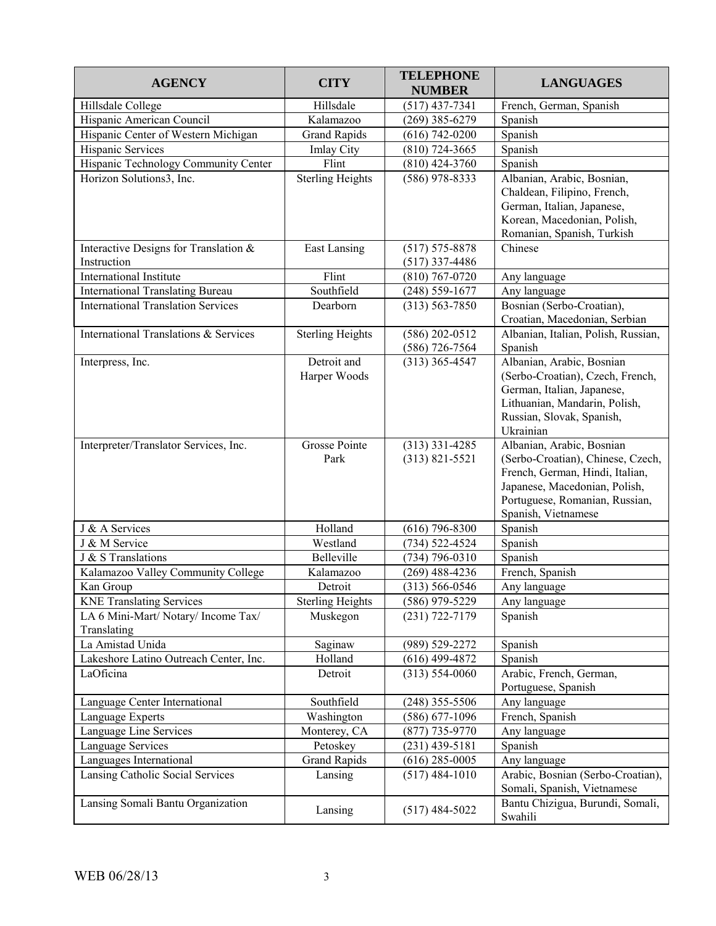| <b>AGENCY</b>                                      | <b>CITY</b>                 | <b>TELEPHONE</b><br><b>NUMBER</b>      | <b>LANGUAGES</b>                                                                                                                                                                            |
|----------------------------------------------------|-----------------------------|----------------------------------------|---------------------------------------------------------------------------------------------------------------------------------------------------------------------------------------------|
| Hillsdale College                                  | Hillsdale                   | $(517)$ 437-7341                       | French, German, Spanish                                                                                                                                                                     |
| Hispanic American Council                          | Kalamazoo                   | $(269)$ 385-6279                       | Spanish                                                                                                                                                                                     |
| Hispanic Center of Western Michigan                | <b>Grand Rapids</b>         | $(616) 742 - 0200$                     | Spanish                                                                                                                                                                                     |
| Hispanic Services                                  | <b>Imlay City</b>           | $(810)$ 724-3665                       | Spanish                                                                                                                                                                                     |
| Hispanic Technology Community Center               | Flint                       | $(810)$ 424-3760                       | Spanish                                                                                                                                                                                     |
| Horizon Solutions3, Inc.                           | <b>Sterling Heights</b>     | $(586)$ 978-8333                       | Albanian, Arabic, Bosnian,<br>Chaldean, Filipino, French,<br>German, Italian, Japanese,<br>Korean, Macedonian, Polish,<br>Romanian, Spanish, Turkish                                        |
| Interactive Designs for Translation &              | East Lansing                | $(517) 575 - 8878$                     | Chinese                                                                                                                                                                                     |
| Instruction                                        |                             | $(517)$ 337-4486                       |                                                                                                                                                                                             |
| <b>International Institute</b>                     | Flint                       | $(810)$ 767-0720                       | Any language                                                                                                                                                                                |
| <b>International Translating Bureau</b>            | Southfield                  | $(248) 559 - 1677$                     | Any language                                                                                                                                                                                |
| <b>International Translation Services</b>          | Dearborn                    | $(313) 563 - 7850$                     | Bosnian (Serbo-Croatian),<br>Croatian, Macedonian, Serbian                                                                                                                                  |
| <b>International Translations &amp; Services</b>   | <b>Sterling Heights</b>     | $(586)$ 202-0512<br>$(586)$ 726-7564   | Albanian, Italian, Polish, Russian,<br>Spanish                                                                                                                                              |
| Interpress, Inc.                                   | Detroit and<br>Harper Woods | $(313)$ 365-4547                       | Albanian, Arabic, Bosnian<br>(Serbo-Croatian), Czech, French,<br>German, Italian, Japanese,<br>Lithuanian, Mandarin, Polish,<br>Russian, Slovak, Spanish,<br>Ukrainian                      |
| Interpreter/Translator Services, Inc.              | Grosse Pointe<br>Park       | $(313)$ 331-4285<br>$(313) 821 - 5521$ | Albanian, Arabic, Bosnian<br>(Serbo-Croatian), Chinese, Czech,<br>French, German, Hindi, Italian,<br>Japanese, Macedonian, Polish,<br>Portuguese, Romanian, Russian,<br>Spanish, Vietnamese |
| J & A Services                                     | Holland                     | $(616)$ 796-8300                       | Spanish                                                                                                                                                                                     |
| J & M Service                                      | Westland                    | (734) 522-4524                         | Spanish                                                                                                                                                                                     |
| J & S Translations                                 | Belleville                  | $(734) 796 - 0310$                     | Spanish                                                                                                                                                                                     |
| Kalamazoo Valley Community College                 | Kalamazoo                   | $(269)$ 488-4236                       | French, Spanish                                                                                                                                                                             |
| Kan Group                                          | Detroit                     | $(313) 566 - 0546$                     | Any language                                                                                                                                                                                |
| <b>KNE Translating Services</b>                    | <b>Sterling Heights</b>     | $(586)$ 979-5229                       | Any language                                                                                                                                                                                |
| LA 6 Mini-Mart/ Notary/ Income Tax/<br>Translating | Muskegon                    | $(231) 722 - 7179$                     | Spanish                                                                                                                                                                                     |
| La Amistad Unida                                   | Saginaw                     | (989) 529-2272                         | Spanish                                                                                                                                                                                     |
| Lakeshore Latino Outreach Center, Inc.             | Holland                     | $(616)$ 499-4872                       | Spanish                                                                                                                                                                                     |
| LaOficina                                          | Detroit                     | $(313) 554 - 0060$                     | Arabic, French, German,<br>Portuguese, Spanish                                                                                                                                              |
| Language Center International                      | Southfield                  | $(248)$ 355-5506                       | Any language                                                                                                                                                                                |
| Language Experts                                   | Washington                  | $(586)$ 677-1096                       | French, Spanish                                                                                                                                                                             |
| Language Line Services                             | Monterey, CA                | $(877)$ 735-9770                       | Any language                                                                                                                                                                                |
| Language Services                                  | Petoskey                    | $(231)$ 439-5181                       | Spanish                                                                                                                                                                                     |
| Languages International                            | <b>Grand Rapids</b>         | $(616)$ 285-0005                       | Any language                                                                                                                                                                                |
| Lansing Catholic Social Services                   | Lansing                     | $(517)$ 484-1010                       | Arabic, Bosnian (Serbo-Croatian),<br>Somali, Spanish, Vietnamese                                                                                                                            |
| Lansing Somali Bantu Organization                  | Lansing                     | $(517)$ 484-5022                       | Bantu Chizigua, Burundi, Somali,<br>Swahili                                                                                                                                                 |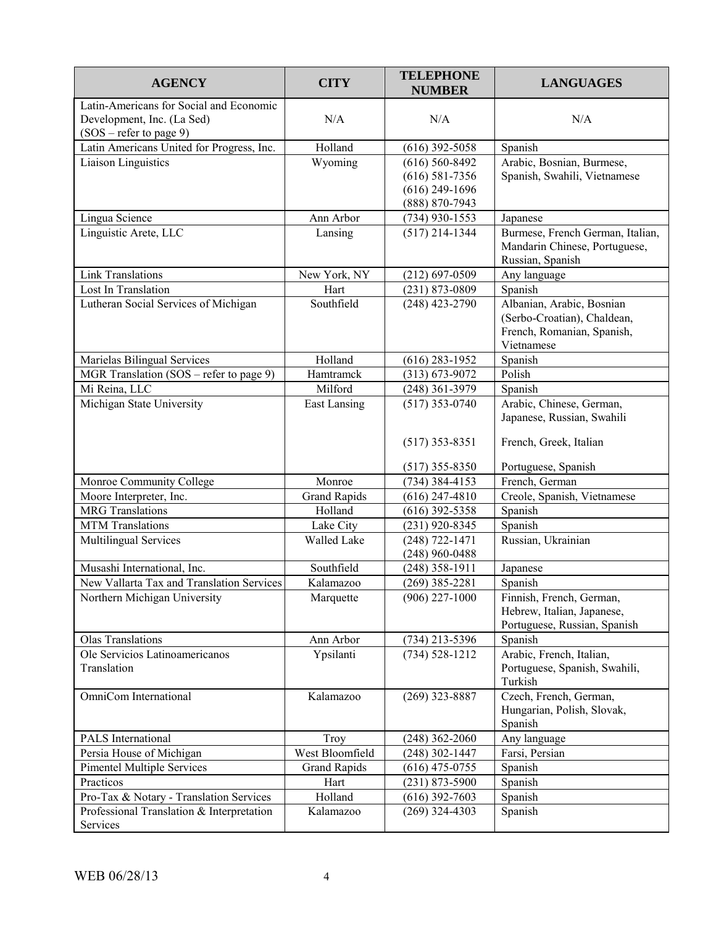| <b>AGENCY</b>                                                                                      | <b>CITY</b>         | <b>TELEPHONE</b><br><b>NUMBER</b>      | <b>LANGUAGES</b>                                                                                     |
|----------------------------------------------------------------------------------------------------|---------------------|----------------------------------------|------------------------------------------------------------------------------------------------------|
| Latin-Americans for Social and Economic<br>Development, Inc. (La Sed)<br>$(SOS - refer to page 9)$ | N/A                 | N/A                                    | N/A                                                                                                  |
| Latin Americans United for Progress, Inc.                                                          | Holland             | $(616)$ 392-5058                       | Spanish                                                                                              |
| <b>Liaison Linguistics</b>                                                                         | Wyoming             | $(616) 560 - 8492$                     | Arabic, Bosnian, Burmese,                                                                            |
|                                                                                                    |                     | $(616) 581 - 7356$                     | Spanish, Swahili, Vietnamese                                                                         |
|                                                                                                    |                     | $(616)$ 249-1696                       |                                                                                                      |
|                                                                                                    |                     | (888) 870-7943                         |                                                                                                      |
| Lingua Science                                                                                     | Ann Arbor           | $(734)$ 930-1553                       | Japanese                                                                                             |
| Linguistic Arete, LLC                                                                              | Lansing             | $(517)$ 214-1344                       | Burmese, French German, Italian,<br>Mandarin Chinese, Portuguese,<br>Russian, Spanish                |
| <b>Link Translations</b>                                                                           | New York, NY        | $(212) 697 - 0509$                     | Any language                                                                                         |
| Lost In Translation                                                                                | Hart                | $(231) 873 - 0809$                     | Spanish                                                                                              |
| Lutheran Social Services of Michigan                                                               | Southfield          | $(248)$ 423-2790                       | Albanian, Arabic, Bosnian<br>(Serbo-Croatian), Chaldean,<br>French, Romanian, Spanish,<br>Vietnamese |
| Marielas Bilingual Services                                                                        | Holland             | $(616)$ 283-1952                       | Spanish                                                                                              |
| MGR Translation (SOS - refer to page 9)                                                            | Hamtramck           | $(313) 673 - 9072$                     | Polish                                                                                               |
| Mi Reina, LLC                                                                                      | Milford             | $(248)$ 361-3979                       | Spanish                                                                                              |
| Michigan State University                                                                          | <b>East Lansing</b> | $(517)$ 353-0740                       | Arabic, Chinese, German,<br>Japanese, Russian, Swahili                                               |
|                                                                                                    |                     | $(517)$ 353-8351                       | French, Greek, Italian                                                                               |
|                                                                                                    |                     | $(517)$ 355-8350                       | Portuguese, Spanish                                                                                  |
| Monroe Community College                                                                           | Monroe              | $(734)$ 384-4153                       | French, German                                                                                       |
| Moore Interpreter, Inc.                                                                            | <b>Grand Rapids</b> | $(616)$ 247-4810                       | Creole, Spanish, Vietnamese                                                                          |
| <b>MRG</b> Translations                                                                            | Holland             | $(616)$ 392-5358                       | Spanish                                                                                              |
| <b>MTM</b> Translations                                                                            | Lake City           | $(231)$ 920-8345                       | Spanish                                                                                              |
| Multilingual Services                                                                              | <b>Walled Lake</b>  | $(248) 722 - 1471$<br>$(248)$ 960-0488 | Russian, Ukrainian                                                                                   |
| Musashi International, Inc.                                                                        | Southfield          | $(248)$ 358-1911                       | Japanese                                                                                             |
| New Vallarta Tax and Translation Services                                                          | Kalamazoo           | $(269)$ 385-2281                       | Spanish                                                                                              |
| Northern Michigan University                                                                       | Marquette           | $(906)$ 227-1000                       | Finnish, French, German,<br>Hebrew, Italian, Japanese,<br>Portuguese, Russian, Spanish               |
| <b>Olas Translations</b>                                                                           | Ann Arbor           | $(734)$ 213-5396                       | Spanish                                                                                              |
| Ole Servicios Latinoamericanos<br>Translation                                                      | Ypsilanti           | $(734) 528 - 1212$                     | Arabic, French, Italian,<br>Portuguese, Spanish, Swahili,<br>Turkish                                 |
| OmniCom International                                                                              | Kalamazoo           | $(269)$ 323-8887                       | Czech, French, German,<br>Hungarian, Polish, Slovak,<br>Spanish                                      |
| PALS International                                                                                 | Troy                | $(248)$ 362-2060                       | Any language                                                                                         |
| Persia House of Michigan                                                                           | West Bloomfield     | $(248)$ 302-1447                       | Farsi, Persian                                                                                       |
| <b>Pimentel Multiple Services</b>                                                                  | <b>Grand Rapids</b> | $(616)$ 475-0755                       | Spanish                                                                                              |
| Practicos                                                                                          | Hart                | $(231)$ 873-5900                       | Spanish                                                                                              |
| Pro-Tax & Notary - Translation Services                                                            | Holland             | $(616)$ 392-7603                       | Spanish                                                                                              |
| Professional Translation & Interpretation<br>Services                                              | Kalamazoo           | $(269)$ 324-4303                       | Spanish                                                                                              |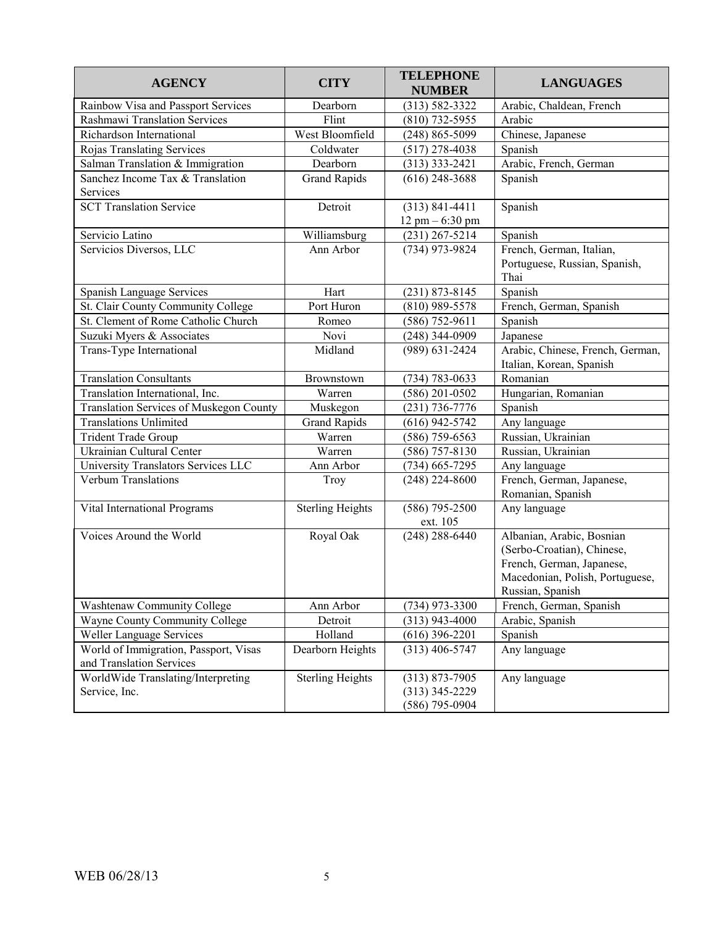| <b>AGENCY</b>                                                     | <b>CITY</b>             | <b>TELEPHONE</b><br><b>NUMBER</b>                          | <b>LANGUAGES</b>                                                                                                                            |
|-------------------------------------------------------------------|-------------------------|------------------------------------------------------------|---------------------------------------------------------------------------------------------------------------------------------------------|
| Rainbow Visa and Passport Services                                | Dearborn                | $(313) 582 - 3322$                                         | Arabic, Chaldean, French                                                                                                                    |
| <b>Rashmawi Translation Services</b>                              | Flint                   | $(810)$ 732-5955                                           | Arabic                                                                                                                                      |
| Richardson International                                          | West Bloomfield         | $(248) 865 - 5099$                                         | Chinese, Japanese                                                                                                                           |
| Rojas Translating Services                                        | Coldwater               | $(517)$ 278-4038                                           | Spanish                                                                                                                                     |
| Salman Translation & Immigration                                  | Dearborn                | $(313)$ 333-2421                                           | Arabic, French, German                                                                                                                      |
| Sanchez Income Tax & Translation<br><b>Services</b>               | <b>Grand Rapids</b>     | $(616)$ 248-3688                                           | Spanish                                                                                                                                     |
| <b>SCT Translation Service</b>                                    | Detroit                 | $(313) 841 - 4411$<br>$12$ pm $- 6:30$ pm                  | Spanish                                                                                                                                     |
| Servicio Latino                                                   | Williamsburg            | $(231)$ 267-5214                                           | Spanish                                                                                                                                     |
| Servicios Diversos, LLC                                           | Ann Arbor               | (734) 973-9824                                             | French, German, Italian,<br>Portuguese, Russian, Spanish,<br>Thai                                                                           |
| Spanish Language Services                                         | Hart                    | $(231) 873 - 8145$                                         | Spanish                                                                                                                                     |
| St. Clair County Community College                                | Port Huron              | $(810)$ 989-5578                                           | French, German, Spanish                                                                                                                     |
| St. Clement of Rome Catholic Church                               | Romeo                   | $(586)$ 752-9611                                           | Spanish                                                                                                                                     |
| Suzuki Myers & Associates                                         | Novi                    | $(248)$ 344-0909                                           | Japanese                                                                                                                                    |
| Trans-Type International                                          | Midland                 | $(989) 631 - 2424$                                         | Arabic, Chinese, French, German,<br>Italian, Korean, Spanish                                                                                |
| <b>Translation Consultants</b>                                    | Brownstown              | $(734) 783 - 0633$                                         | Romanian                                                                                                                                    |
| Translation International, Inc.                                   | Warren                  | $(586)$ 201-0502                                           | Hungarian, Romanian                                                                                                                         |
| <b>Translation Services of Muskegon County</b>                    | Muskegon                | $(231) 736 - 7776$                                         | Spanish                                                                                                                                     |
| <b>Translations Unlimited</b>                                     | <b>Grand Rapids</b>     | $(616)$ 942-5742                                           | Any language                                                                                                                                |
| <b>Trident Trade Group</b>                                        | Warren                  | $(586)$ 759-6563                                           | Russian, Ukrainian                                                                                                                          |
| Ukrainian Cultural Center                                         | Warren                  | $(586)$ 757-8130                                           | Russian, Ukrainian                                                                                                                          |
| University Translators Services LLC                               | Ann Arbor               | $(734)$ 665-7295                                           | Any language                                                                                                                                |
| <b>Verbum Translations</b>                                        | Troy                    | $(248)$ 224-8600                                           | French, German, Japanese,<br>Romanian, Spanish                                                                                              |
| Vital International Programs                                      | <b>Sterling Heights</b> | $(586)$ 795-2500<br>ext. 105                               | Any language                                                                                                                                |
| Voices Around the World                                           | Royal Oak               | $(248)$ 288-6440                                           | Albanian, Arabic, Bosnian<br>(Serbo-Croatian), Chinese,<br>French, German, Japanese,<br>Macedonian, Polish, Portuguese,<br>Russian, Spanish |
| <b>Washtenaw Community College</b>                                | Ann Arbor               | $(734)$ 973-3300                                           | French, German, Spanish                                                                                                                     |
| Wayne County Community College                                    | Detroit                 | $(313)$ 943-4000                                           | Arabic, Spanish                                                                                                                             |
| Weller Language Services                                          | Holland                 | $(616)$ 396-2201                                           | Spanish                                                                                                                                     |
| World of Immigration, Passport, Visas<br>and Translation Services | Dearborn Heights        | $(313)$ 406-5747                                           | Any language                                                                                                                                |
| WorldWide Translating/Interpreting<br>Service, Inc.               | <b>Sterling Heights</b> | $(313) 873 - 7905$<br>$(313)$ 345-2229<br>$(586)$ 795-0904 | Any language                                                                                                                                |